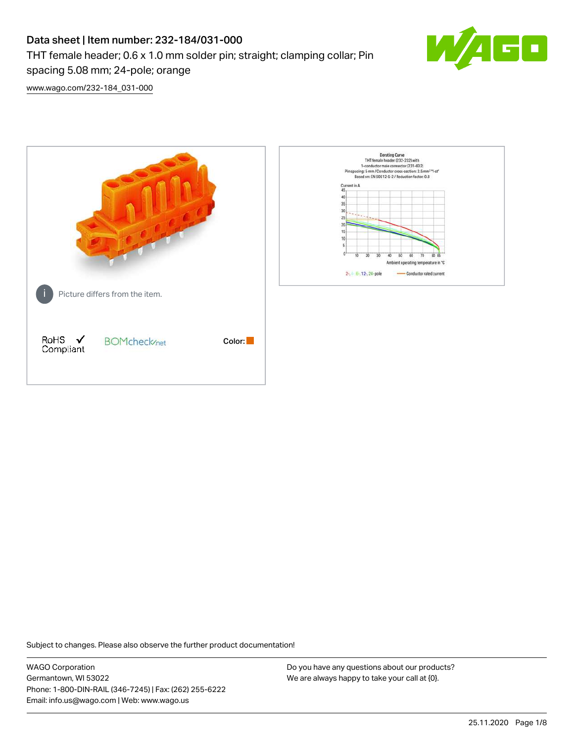# Data sheet | Item number: 232-184/031-000 THT female header; 0.6 x 1.0 mm solder pin; straight; clamping collar; Pin spacing 5.08 mm; 24-pole; orange



[www.wago.com/232-184\\_031-000](http://www.wago.com/232-184_031-000)



Subject to changes. Please also observe the further product documentation!

WAGO Corporation Germantown, WI 53022 Phone: 1-800-DIN-RAIL (346-7245) | Fax: (262) 255-6222 Email: info.us@wago.com | Web: www.wago.us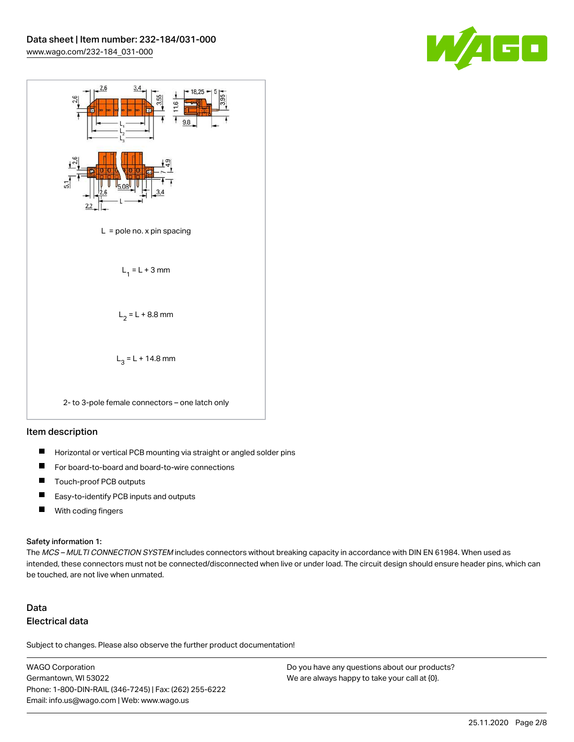



#### Item description

- $\blacksquare$ Horizontal or vertical PCB mounting via straight or angled solder pins
- П For board-to-board and board-to-wire connections
- $\blacksquare$ Touch-proof PCB outputs
- $\blacksquare$ Easy-to-identify PCB inputs and outputs
- $\blacksquare$ With coding fingers

#### Safety information 1:

The MCS - MULTI CONNECTION SYSTEM includes connectors without breaking capacity in accordance with DIN EN 61984. When used as intended, these connectors must not be connected/disconnected when live or under load. The circuit design should ensure header pins, which can be touched, are not live when unmated.

## Data Electrical data

Subject to changes. Please also observe the further product documentation!

WAGO Corporation Germantown, WI 53022 Phone: 1-800-DIN-RAIL (346-7245) | Fax: (262) 255-6222 Email: info.us@wago.com | Web: www.wago.us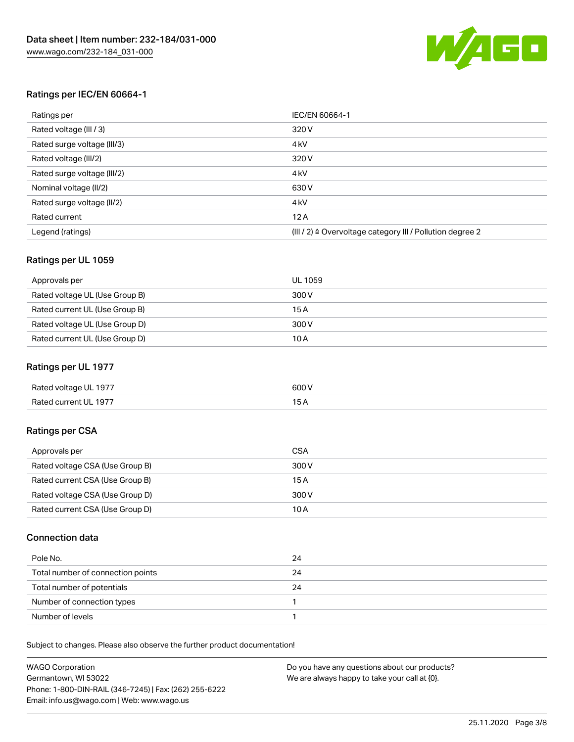

## Ratings per IEC/EN 60664-1

| Ratings per                 | IEC/EN 60664-1                                                        |
|-----------------------------|-----------------------------------------------------------------------|
| Rated voltage (III / 3)     | 320 V                                                                 |
| Rated surge voltage (III/3) | 4 <sub>k</sub> V                                                      |
| Rated voltage (III/2)       | 320 V                                                                 |
| Rated surge voltage (III/2) | 4 <sub>k</sub> V                                                      |
| Nominal voltage (II/2)      | 630 V                                                                 |
| Rated surge voltage (II/2)  | 4 <sub>k</sub> V                                                      |
| Rated current               | 12A                                                                   |
| Legend (ratings)            | $(III / 2)$ $\triangle$ Overvoltage category III / Pollution degree 2 |

## Ratings per UL 1059

| Approvals per                  | UL 1059 |
|--------------------------------|---------|
| Rated voltage UL (Use Group B) | 300 V   |
| Rated current UL (Use Group B) | 15 A    |
| Rated voltage UL (Use Group D) | 300 V   |
| Rated current UL (Use Group D) | 10 A    |

## Ratings per UL 1977

| Rated voltage UL 1977 | 600 <sup>V</sup><br>. |
|-----------------------|-----------------------|
| Rated current UL 1977 |                       |

## Ratings per CSA

| Approvals per                   | CSA   |
|---------------------------------|-------|
| Rated voltage CSA (Use Group B) | 300 V |
| Rated current CSA (Use Group B) | 15 A  |
| Rated voltage CSA (Use Group D) | 300 V |
| Rated current CSA (Use Group D) | 10 A  |

## Connection data

| Pole No.                          | 24 |
|-----------------------------------|----|
| Total number of connection points | 24 |
| Total number of potentials        | 24 |
| Number of connection types        |    |
| Number of levels                  |    |

| <b>WAGO Corporation</b>                                | Do you have any questions about our products? |
|--------------------------------------------------------|-----------------------------------------------|
| Germantown, WI 53022                                   | We are always happy to take your call at {0}. |
| Phone: 1-800-DIN-RAIL (346-7245)   Fax: (262) 255-6222 |                                               |
| Email: info.us@wago.com   Web: www.wago.us             |                                               |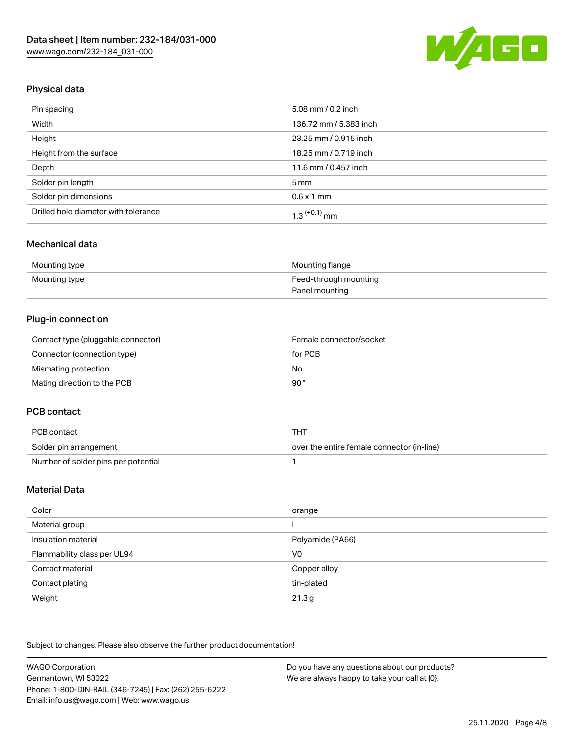

## Physical data

| Pin spacing                          | 5.08 mm / 0.2 inch     |
|--------------------------------------|------------------------|
| Width                                | 136.72 mm / 5.383 inch |
| Height                               | 23.25 mm / 0.915 inch  |
| Height from the surface              | 18.25 mm / 0.719 inch  |
| Depth                                | 11.6 mm / 0.457 inch   |
| Solder pin length                    | $5 \,\mathrm{mm}$      |
| Solder pin dimensions                | $0.6 \times 1$ mm      |
| Drilled hole diameter with tolerance | $1.3$ $(+0.1)$ mm      |

## Mechanical data

| Mounting type | Mounting flange       |
|---------------|-----------------------|
| Mounting type | Feed-through mounting |
|               | Panel mounting        |

## Plug-in connection

| Contact type (pluggable connector) | Female connector/socket |
|------------------------------------|-------------------------|
| Connector (connection type)        | for PCB                 |
| Mismating protection               | No                      |
| Mating direction to the PCB        | 90°                     |

#### PCB contact

| PCB contact                         | THT                                        |
|-------------------------------------|--------------------------------------------|
| Solder pin arrangement              | over the entire female connector (in-line) |
| Number of solder pins per potential |                                            |

## Material Data

| Color                       | orange           |
|-----------------------------|------------------|
| Material group              |                  |
| Insulation material         | Polyamide (PA66) |
| Flammability class per UL94 | V <sub>0</sub>   |
| Contact material            | Copper alloy     |
| Contact plating             | tin-plated       |
| Weight                      | 21.3g            |

| WAGO Corporation                                       | Do you have any questions about our products? |
|--------------------------------------------------------|-----------------------------------------------|
| Germantown, WI 53022                                   | We are always happy to take your call at {0}. |
| Phone: 1-800-DIN-RAIL (346-7245)   Fax: (262) 255-6222 |                                               |
| Email: info.us@wago.com   Web: www.wago.us             |                                               |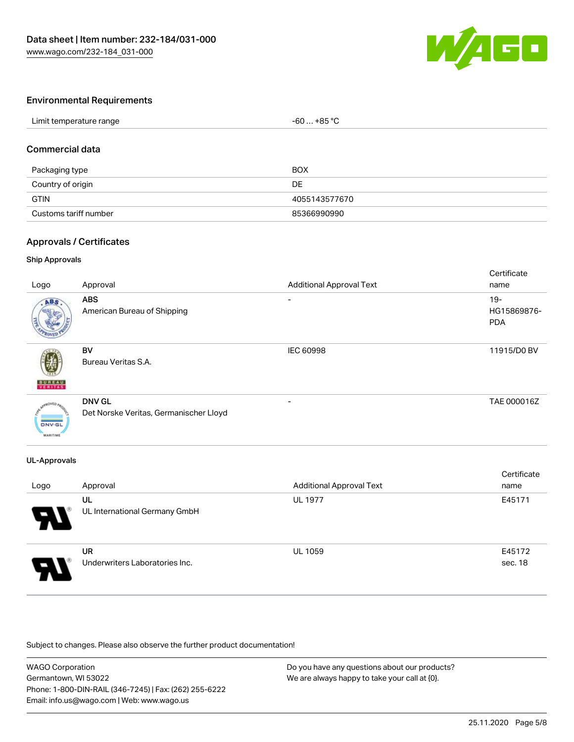

## Environmental Requirements

## Commercial data

| Packaging type        | BOX           |
|-----------------------|---------------|
| Country of origin     | DE            |
| <b>GTIN</b>           | 4055143577670 |
| Customs tariff number | 85366990990   |

## Approvals / Certificates

#### Ship Approvals

| Logo                             | Approval                                                | <b>Additional Approval Text</b> | Certificate<br>name                 |
|----------------------------------|---------------------------------------------------------|---------------------------------|-------------------------------------|
| ABS.                             | <b>ABS</b><br>American Bureau of Shipping               |                                 | $19 -$<br>HG15869876-<br><b>PDA</b> |
| <b>BUREAU</b>                    | BV<br>Bureau Veritas S.A.                               | IEC 60998                       | 11915/D0 BV                         |
| <b>DNV-GL</b><br><b>MARITIME</b> | <b>DNV GL</b><br>Det Norske Veritas, Germanischer Lloyd | -                               | TAE 000016Z                         |

#### UL-Approvals

| Logo | Approval                                    | <b>Additional Approval Text</b> | Certificate<br>name |
|------|---------------------------------------------|---------------------------------|---------------------|
| Э.   | UL<br>UL International Germany GmbH         | <b>UL 1977</b>                  | E45171              |
| 8    | <b>UR</b><br>Underwriters Laboratories Inc. | <b>UL 1059</b>                  | E45172<br>sec. 18   |

| <b>WAGO Corporation</b>                                | Do you have any questions about our products? |
|--------------------------------------------------------|-----------------------------------------------|
| Germantown, WI 53022                                   | We are always happy to take your call at {0}. |
| Phone: 1-800-DIN-RAIL (346-7245)   Fax: (262) 255-6222 |                                               |
| Email: info.us@wago.com   Web: www.wago.us             |                                               |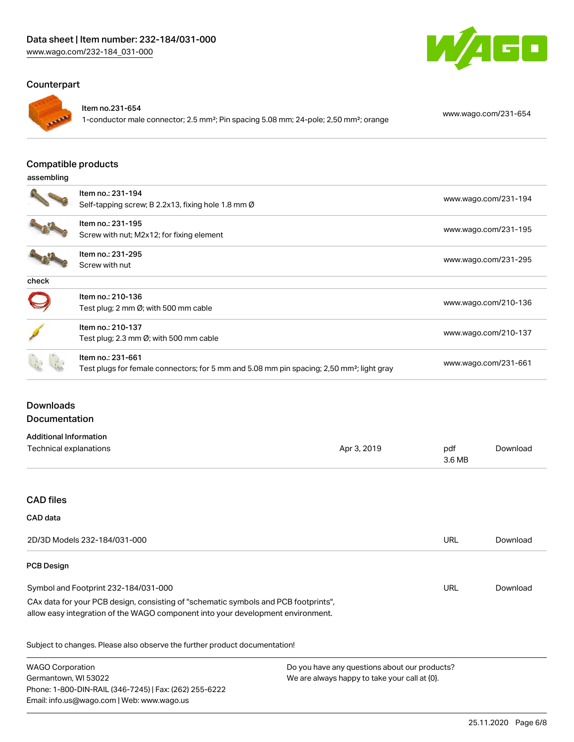## Counterpart



#### Item no.231-654

1-conductor male connector; 2.5 mm²; Pin spacing 5.08 mm; 24-pole; 2,50 mm²; orange [www.wago.com/231-654](https://www.wago.com/231-654)

W

GO

#### Compatible products

#### assembling

|       | Item no.: 231-194                                                                                     | www.wago.com/231-194 |
|-------|-------------------------------------------------------------------------------------------------------|----------------------|
|       | Self-tapping screw; B 2.2x13, fixing hole 1.8 mm Ø                                                    |                      |
|       | Item no.: 231-195                                                                                     |                      |
|       | Screw with nut; M2x12; for fixing element                                                             | www.wago.com/231-195 |
|       | Item no.: 231-295                                                                                     |                      |
|       | Screw with nut                                                                                        | www.wago.com/231-295 |
| check |                                                                                                       |                      |
|       | Item no.: 210-136                                                                                     |                      |
|       | Test plug; 2 mm $\varnothing$ ; with 500 mm cable                                                     | www.wago.com/210-136 |
|       | Item no.: 210-137                                                                                     |                      |
|       | Test plug; 2.3 mm Ø; with 500 mm cable                                                                | www.wago.com/210-137 |
|       | Item no.: 231-661                                                                                     |                      |
|       | Test plugs for female connectors; for 5 mm and 5.08 mm pin spacing; 2,50 mm <sup>2</sup> ; light gray | www.wago.com/231-661 |

## Downloads Documentation

| Additional Information |             |        |          |
|------------------------|-------------|--------|----------|
| Technical explanations | Apr 3, 2019 | pdf    | Download |
|                        |             | 3.6 MB |          |

## CAD files

#### CAD data

| URL | Download |
|-----|----------|
|     |          |
| URL | Download |
|     |          |
|     |          |

| <b>WAGO Corporation</b>                                | Do you have any questions about our products? |
|--------------------------------------------------------|-----------------------------------------------|
| Germantown, WI 53022                                   | We are always happy to take your call at {0}. |
| Phone: 1-800-DIN-RAIL (346-7245)   Fax: (262) 255-6222 |                                               |
| Email: info.us@wago.com   Web: www.wago.us             |                                               |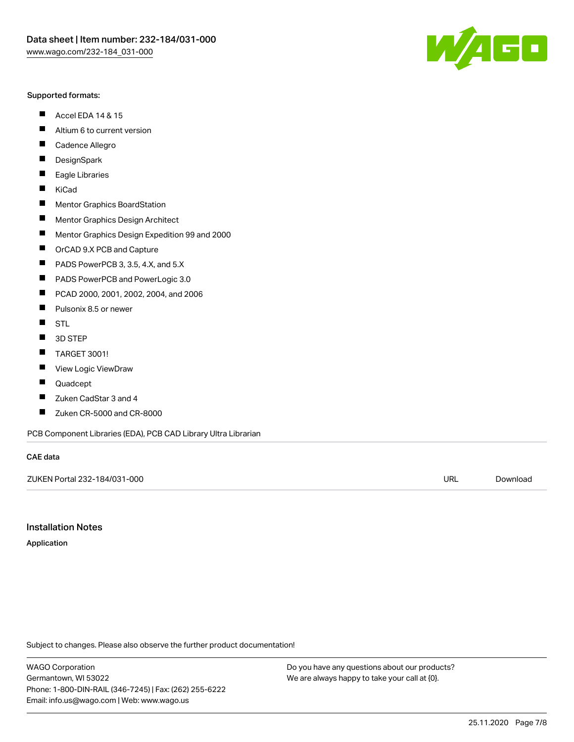#### Supported formats:

- $\blacksquare$ Accel EDA 14 & 15
- $\blacksquare$ Altium 6 to current version
- $\blacksquare$ Cadence Allegro
- $\blacksquare$ **DesignSpark**
- $\blacksquare$ Eagle Libraries
- $\blacksquare$ KiCad
- $\blacksquare$ Mentor Graphics BoardStation
- $\blacksquare$ Mentor Graphics Design Architect
- $\blacksquare$ Mentor Graphics Design Expedition 99 and 2000
- $\blacksquare$ OrCAD 9.X PCB and Capture
- $\blacksquare$ PADS PowerPCB 3, 3.5, 4.X, and 5.X
- $\blacksquare$ PADS PowerPCB and PowerLogic 3.0
- $\blacksquare$ PCAD 2000, 2001, 2002, 2004, and 2006
- $\blacksquare$ Pulsonix 8.5 or newer
- $\blacksquare$ STL
- 3D STEP П
- $\blacksquare$ TARGET 3001!
- $\blacksquare$ View Logic ViewDraw
- $\blacksquare$ Quadcept
- $\blacksquare$ Zuken CadStar 3 and 4
- Zuken CR-5000 and CR-8000 П

PCB Component Libraries (EDA), PCB CAD Library Ultra Librarian

#### CAE data

ZUKEN Portal 232-184/031-000 URL [Download](https://www.wago.com/us/d/Zuken_URLS_232-184_031-000)

Installation Notes

Application

Subject to changes. Please also observe the further product documentation!

WAGO Corporation Germantown, WI 53022 Phone: 1-800-DIN-RAIL (346-7245) | Fax: (262) 255-6222 Email: info.us@wago.com | Web: www.wago.us